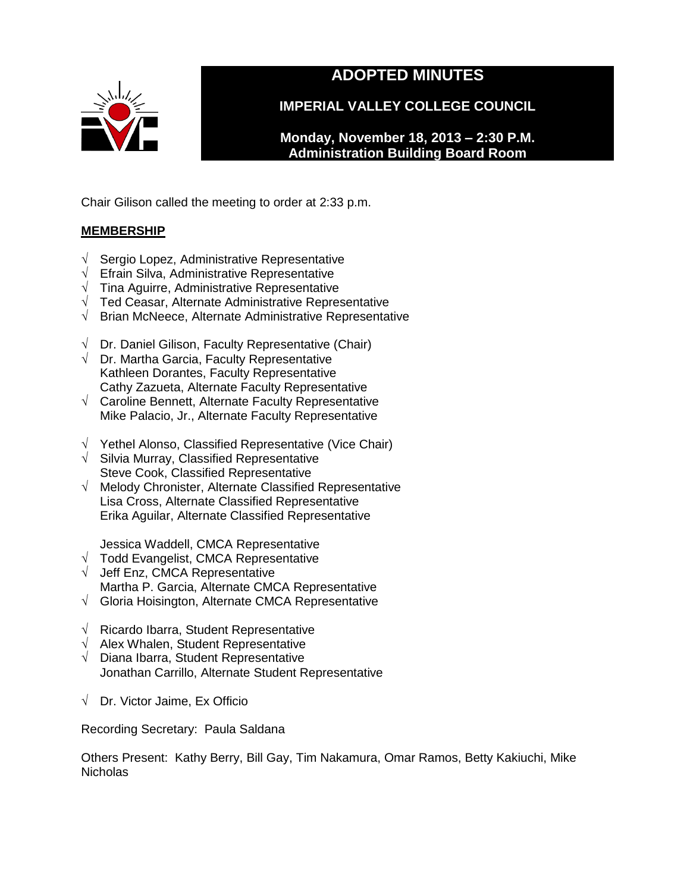

# **ADOPTED MINUTES**

**IMPERIAL VALLEY COLLEGE COUNCIL**

**Monday, November 18, 2013 – 2:30 P.M. Administration Building Board Room** 

Chair Gilison called the meeting to order at 2:33 p.m.

# **MEMBERSHIP**

- √ Sergio Lopez, Administrative Representative
- √ Efrain Silva, Administrative Representative
- $\sqrt{\phantom{a}}$  Tina Aguirre, Administrative Representative
- √ Ted Ceasar, Alternate Administrative Representative
- √ Brian McNeece, Alternate Administrative Representative
- $\sqrt{ }$  Dr. Daniel Gilison, Faculty Representative (Chair)
- $\sqrt{ }$  Dr. Martha Garcia, Faculty Representative Kathleen Dorantes, Faculty Representative Cathy Zazueta, Alternate Faculty Representative
- √ Caroline Bennett, Alternate Faculty Representative Mike Palacio, Jr., Alternate Faculty Representative
- √ Yethel Alonso, Classified Representative (Vice Chair)
- √ Silvia Murray, Classified Representative Steve Cook, Classified Representative
- √ Melody Chronister, Alternate Classified Representative Lisa Cross, Alternate Classified Representative Erika Aguilar, Alternate Classified Representative

Jessica Waddell, CMCA Representative

- √ Todd Evangelist, CMCA Representative
- √ Jeff Enz, CMCA Representative Martha P. Garcia, Alternate CMCA Representative
- √ Gloria Hoisington, Alternate CMCA Representative
- √ Ricardo Ibarra, Student Representative
- $\sqrt{\phantom{a}}$  Alex Whalen, Student Representative
- √ Diana Ibarra, Student Representative Jonathan Carrillo, Alternate Student Representative
- √ Dr. Victor Jaime, Ex Officio

Recording Secretary: Paula Saldana

Others Present: Kathy Berry, Bill Gay, Tim Nakamura, Omar Ramos, Betty Kakiuchi, Mike **Nicholas**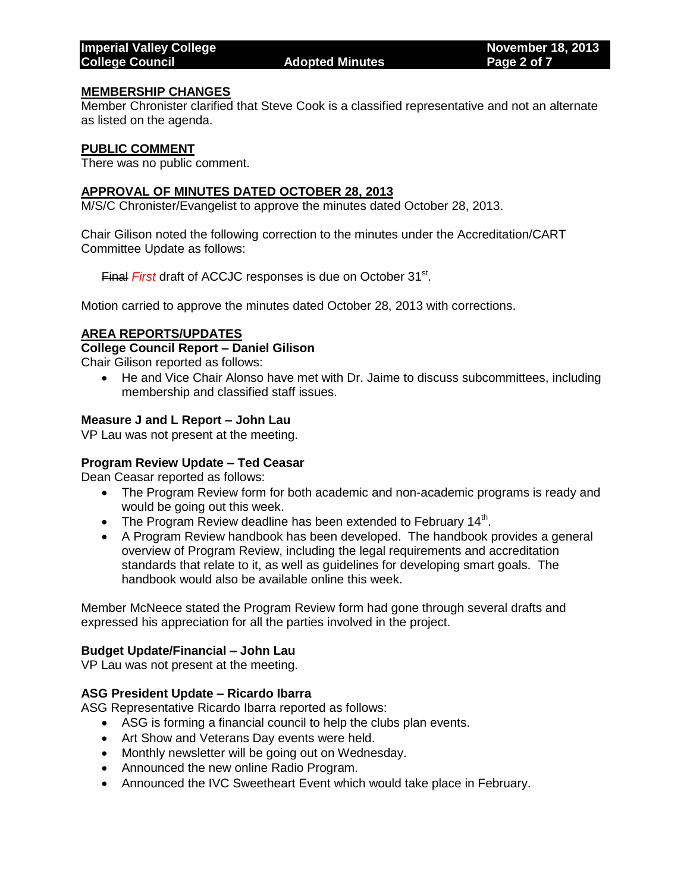#### **MEMBERSHIP CHANGES**

Member Chronister clarified that Steve Cook is a classified representative and not an alternate as listed on the agenda.

#### **PUBLIC COMMENT**

There was no public comment.

#### **APPROVAL OF MINUTES DATED OCTOBER 28, 2013**

M/S/C Chronister/Evangelist to approve the minutes dated October 28, 2013.

Chair Gilison noted the following correction to the minutes under the Accreditation/CART Committee Update as follows:

Final *First* draft of ACCJC responses is due on October 31<sup>st</sup>.

Motion carried to approve the minutes dated October 28, 2013 with corrections.

#### **AREA REPORTS/UPDATES**

#### **College Council Report – Daniel Gilison**

Chair Gilison reported as follows:

 He and Vice Chair Alonso have met with Dr. Jaime to discuss subcommittees, including membership and classified staff issues.

#### **Measure J and L Report – John Lau**

VP Lau was not present at the meeting.

#### **Program Review Update – Ted Ceasar**

Dean Ceasar reported as follows:

- The Program Review form for both academic and non-academic programs is ready and would be going out this week.
- The Program Review deadline has been extended to February 14<sup>th</sup>.
- A Program Review handbook has been developed. The handbook provides a general overview of Program Review, including the legal requirements and accreditation standards that relate to it, as well as guidelines for developing smart goals. The handbook would also be available online this week.

Member McNeece stated the Program Review form had gone through several drafts and expressed his appreciation for all the parties involved in the project.

#### **Budget Update/Financial – John Lau**

VP Lau was not present at the meeting.

#### **ASG President Update – Ricardo Ibarra**

ASG Representative Ricardo Ibarra reported as follows:

- ASG is forming a financial council to help the clubs plan events.
- Art Show and Veterans Day events were held.
- Monthly newsletter will be going out on Wednesday.
- Announced the new online Radio Program.
- Announced the IVC Sweetheart Event which would take place in February.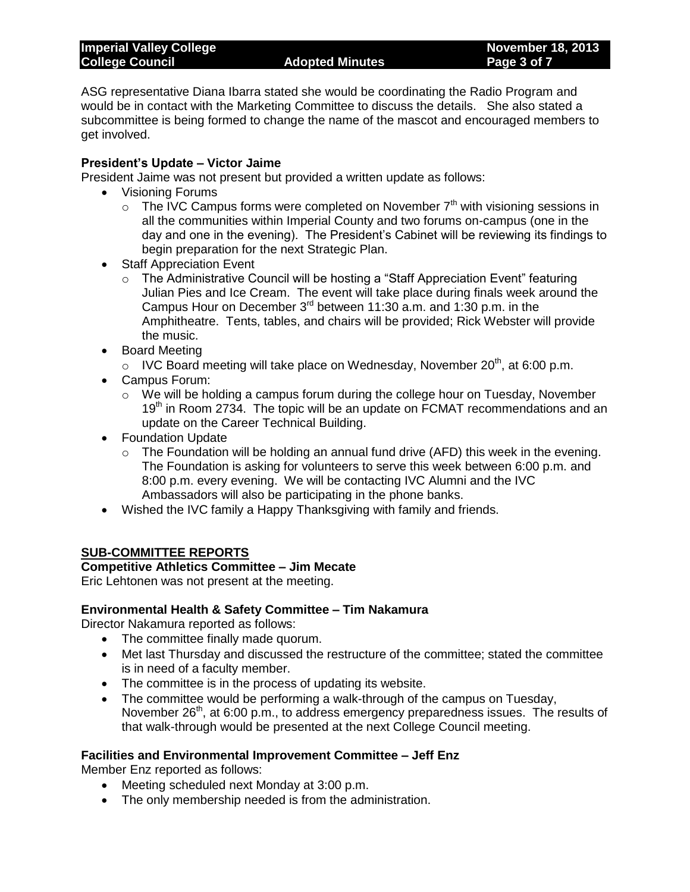## **Imperial Valley College November 18, 2013 College Council Adopted Minutes Page 3 of 7**

ASG representative Diana Ibarra stated she would be coordinating the Radio Program and would be in contact with the Marketing Committee to discuss the details. She also stated a subcommittee is being formed to change the name of the mascot and encouraged members to get involved.

# **President's Update – Victor Jaime**

President Jaime was not present but provided a written update as follows:

- Visioning Forums
	- $\circ$  The IVC Campus forms were completed on November  $7<sup>th</sup>$  with visioning sessions in all the communities within Imperial County and two forums on-campus (one in the day and one in the evening). The President's Cabinet will be reviewing its findings to begin preparation for the next Strategic Plan.
- Staff Appreciation Event
	- o The Administrative Council will be hosting a "Staff Appreciation Event" featuring Julian Pies and Ice Cream. The event will take place during finals week around the Campus Hour on December 3rd between 11:30 a.m. and 1:30 p.m. in the Amphitheatre. Tents, tables, and chairs will be provided; Rick Webster will provide the music.
- Board Meeting
	- $\circ$  IVC Board meeting will take place on Wednesday, November 20<sup>th</sup>, at 6:00 p.m.
- Campus Forum:
	- $\circ$  We will be holding a campus forum during the college hour on Tuesday, November 19<sup>th</sup> in Room 2734. The topic will be an update on FCMAT recommendations and an update on the Career Technical Building.
- Foundation Update
	- $\circ$  The Foundation will be holding an annual fund drive (AFD) this week in the evening. The Foundation is asking for volunteers to serve this week between 6:00 p.m. and 8:00 p.m. every evening. We will be contacting IVC Alumni and the IVC Ambassadors will also be participating in the phone banks.
- Wished the IVC family a Happy Thanksgiving with family and friends.

# **SUB-COMMITTEE REPORTS**

#### **Competitive Athletics Committee – Jim Mecate**

Eric Lehtonen was not present at the meeting.

# **Environmental Health & Safety Committee – Tim Nakamura**

Director Nakamura reported as follows:

- The committee finally made quorum.
- Met last Thursday and discussed the restructure of the committee; stated the committee is in need of a faculty member.
- The committee is in the process of updating its website.
- The committee would be performing a walk-through of the campus on Tuesday, November  $26<sup>th</sup>$ , at 6:00 p.m., to address emergency preparedness issues. The results of that walk-through would be presented at the next College Council meeting.

# **Facilities and Environmental Improvement Committee – Jeff Enz**

Member Enz reported as follows:

- Meeting scheduled next Monday at 3:00 p.m.
- The only membership needed is from the administration.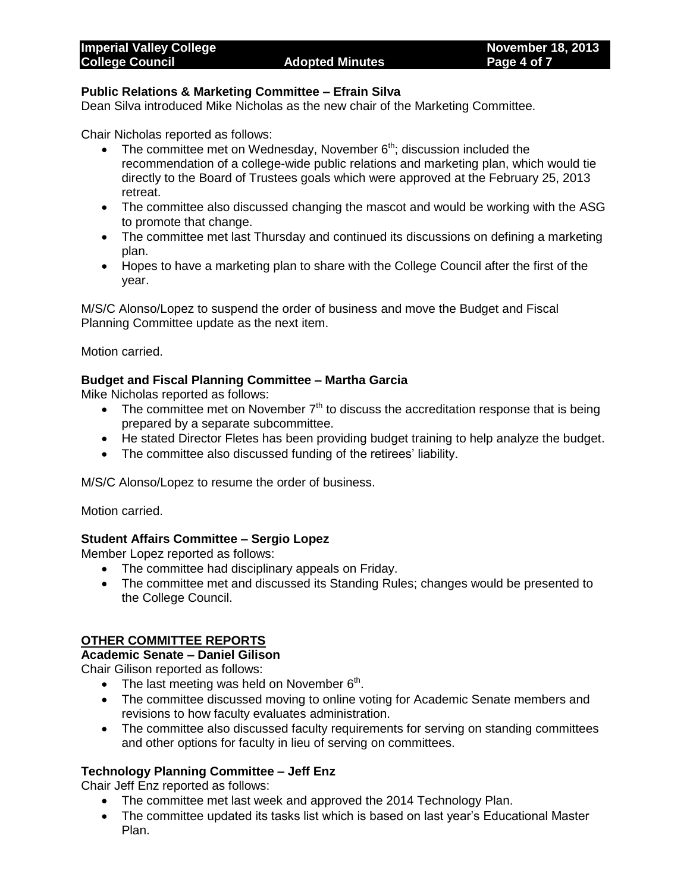## **Public Relations & Marketing Committee – Efrain Silva**

Dean Silva introduced Mike Nicholas as the new chair of the Marketing Committee.

Chair Nicholas reported as follows:

- The committee met on Wednesday, November  $6<sup>th</sup>$ ; discussion included the recommendation of a college-wide public relations and marketing plan, which would tie directly to the Board of Trustees goals which were approved at the February 25, 2013 retreat.
- The committee also discussed changing the mascot and would be working with the ASG to promote that change.
- The committee met last Thursday and continued its discussions on defining a marketing plan.
- Hopes to have a marketing plan to share with the College Council after the first of the year.

M/S/C Alonso/Lopez to suspend the order of business and move the Budget and Fiscal Planning Committee update as the next item.

Motion carried.

## **Budget and Fiscal Planning Committee – Martha Garcia**

Mike Nicholas reported as follows:

- The committee met on November  $7<sup>th</sup>$  to discuss the accreditation response that is being prepared by a separate subcommittee.
- He stated Director Fletes has been providing budget training to help analyze the budget.
- The committee also discussed funding of the retirees' liability.

M/S/C Alonso/Lopez to resume the order of business.

Motion carried.

#### **Student Affairs Committee – Sergio Lopez**

Member Lopez reported as follows:

- The committee had disciplinary appeals on Friday.
- The committee met and discussed its Standing Rules; changes would be presented to the College Council.

## **OTHER COMMITTEE REPORTS**

# **Academic Senate – Daniel Gilison**

Chair Gilison reported as follows:

- The last meeting was held on November  $6<sup>th</sup>$ .
- The committee discussed moving to online voting for Academic Senate members and revisions to how faculty evaluates administration.
- The committee also discussed faculty requirements for serving on standing committees and other options for faculty in lieu of serving on committees.

# **Technology Planning Committee – Jeff Enz**

Chair Jeff Enz reported as follows:

- The committee met last week and approved the 2014 Technology Plan.
- The committee updated its tasks list which is based on last year's Educational Master Plan.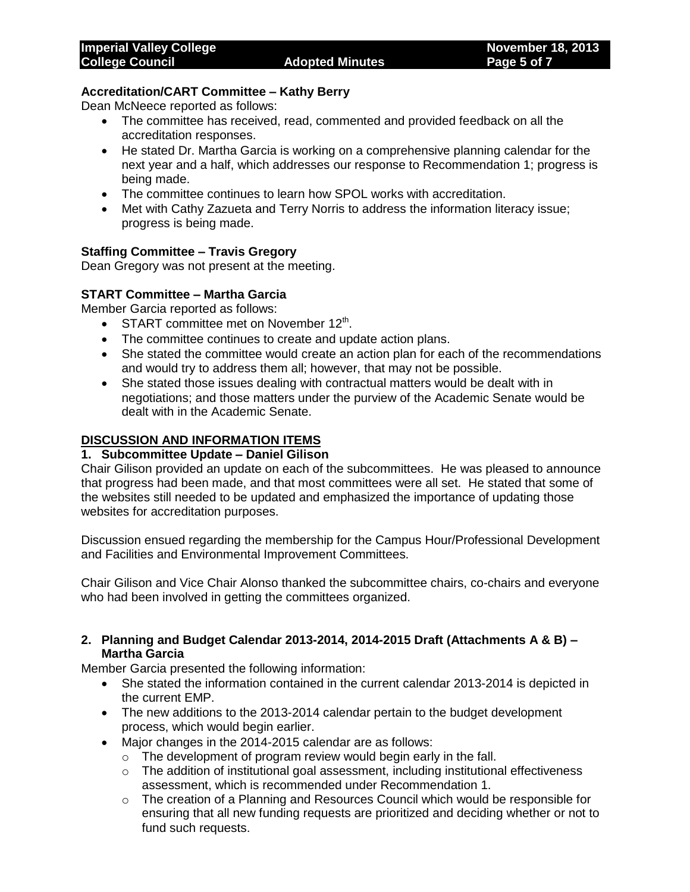## **Accreditation/CART Committee – Kathy Berry**

Dean McNeece reported as follows:

- The committee has received, read, commented and provided feedback on all the accreditation responses.
- He stated Dr. Martha Garcia is working on a comprehensive planning calendar for the next year and a half, which addresses our response to Recommendation 1; progress is being made.
- The committee continues to learn how SPOL works with accreditation.
- Met with Cathy Zazueta and Terry Norris to address the information literacy issue; progress is being made.

#### **Staffing Committee – Travis Gregory**

Dean Gregory was not present at the meeting.

#### **START Committee – Martha Garcia**

Member Garcia reported as follows:

- START committee met on November 12<sup>th</sup>.
- The committee continues to create and update action plans.
- She stated the committee would create an action plan for each of the recommendations and would try to address them all; however, that may not be possible.
- She stated those issues dealing with contractual matters would be dealt with in negotiations; and those matters under the purview of the Academic Senate would be dealt with in the Academic Senate.

## **DISCUSSION AND INFORMATION ITEMS**

#### **1. Subcommittee Update – Daniel Gilison**

Chair Gilison provided an update on each of the subcommittees. He was pleased to announce that progress had been made, and that most committees were all set. He stated that some of the websites still needed to be updated and emphasized the importance of updating those websites for accreditation purposes.

Discussion ensued regarding the membership for the Campus Hour/Professional Development and Facilities and Environmental Improvement Committees.

Chair Gilison and Vice Chair Alonso thanked the subcommittee chairs, co-chairs and everyone who had been involved in getting the committees organized.

## **2. Planning and Budget Calendar 2013-2014, 2014-2015 Draft (Attachments A & B) – Martha Garcia**

Member Garcia presented the following information:

- She stated the information contained in the current calendar 2013-2014 is depicted in the current EMP.
- The new additions to the 2013-2014 calendar pertain to the budget development process, which would begin earlier.
- Major changes in the 2014-2015 calendar are as follows:
	- o The development of program review would begin early in the fall.
		- $\circ$  The addition of institutional goal assessment, including institutional effectiveness assessment, which is recommended under Recommendation 1.
		- o The creation of a Planning and Resources Council which would be responsible for ensuring that all new funding requests are prioritized and deciding whether or not to fund such requests.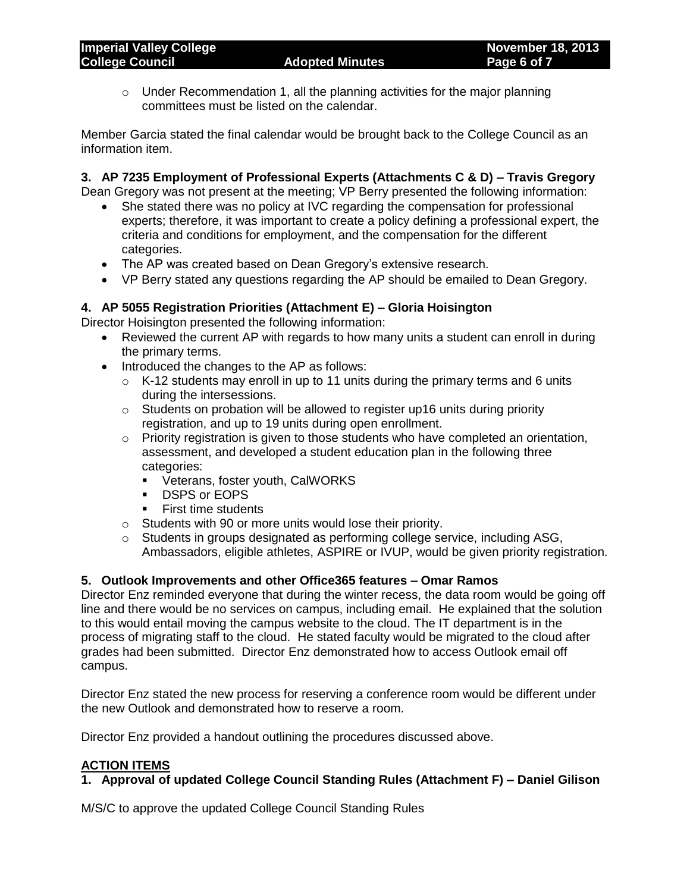o Under Recommendation 1, all the planning activities for the major planning committees must be listed on the calendar.

Member Garcia stated the final calendar would be brought back to the College Council as an information item.

# **3. AP 7235 Employment of Professional Experts (Attachments C & D) – Travis Gregory**

Dean Gregory was not present at the meeting; VP Berry presented the following information:

- She stated there was no policy at IVC regarding the compensation for professional experts; therefore, it was important to create a policy defining a professional expert, the criteria and conditions for employment, and the compensation for the different categories.
- The AP was created based on Dean Gregory's extensive research.
- VP Berry stated any questions regarding the AP should be emailed to Dean Gregory.

# **4. AP 5055 Registration Priorities (Attachment E) – Gloria Hoisington**

Director Hoisington presented the following information:

- Reviewed the current AP with regards to how many units a student can enroll in during the primary terms.
- Introduced the changes to the AP as follows:
	- $\circ$  K-12 students may enroll in up to 11 units during the primary terms and 6 units during the intersessions.
	- $\circ$  Students on probation will be allowed to register up16 units during priority registration, and up to 19 units during open enrollment.
	- $\circ$  Priority registration is given to those students who have completed an orientation, assessment, and developed a student education plan in the following three categories:
		- **•** Veterans, foster youth, CalWORKS
		- **DSPS or EOPS**
		- **First time students**
	- o Students with 90 or more units would lose their priority.
	- o Students in groups designated as performing college service, including ASG, Ambassadors, eligible athletes, ASPIRE or IVUP, would be given priority registration.

# **5. Outlook Improvements and other Office365 features – Omar Ramos**

Director Enz reminded everyone that during the winter recess, the data room would be going off line and there would be no services on campus, including email. He explained that the solution to this would entail moving the campus website to the cloud. The IT department is in the process of migrating staff to the cloud. He stated faculty would be migrated to the cloud after grades had been submitted. Director Enz demonstrated how to access Outlook email off campus.

Director Enz stated the new process for reserving a conference room would be different under the new Outlook and demonstrated how to reserve a room.

Director Enz provided a handout outlining the procedures discussed above.

# **ACTION ITEMS**

# **1. Approval of updated College Council Standing Rules (Attachment F) – Daniel Gilison**

M/S/C to approve the updated College Council Standing Rules